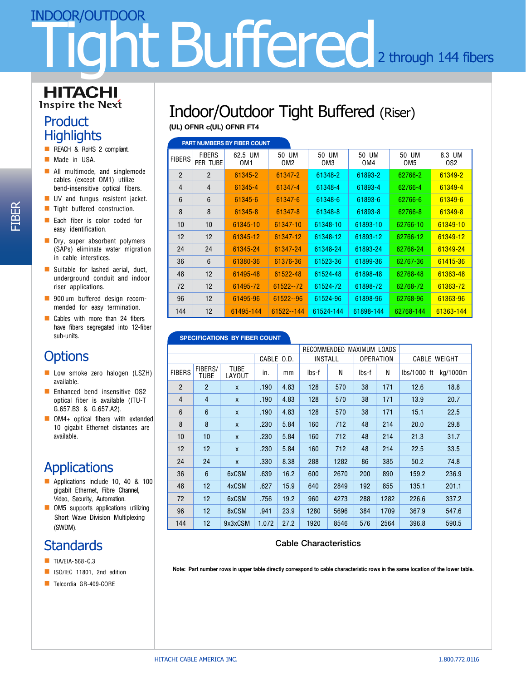# ht Buffered<sub>2 through 144 fibers</sub> INDOOR/OUTDOOR

#### **HITACHI Inspire the Next**

### **Product Highlights**

- **n** REACH & RoHS 2 compliant.
- **n** Made in USA.
- $\blacksquare$  All multimode, and singlemode cables (except OM1) utilize bend-insensitive optical fibers.
- **N** UV and fungus resistent jacket.
- **n** Tight buffered construction.
- $\blacksquare$  Each fiber is color coded for easy identification.
- $\blacksquare$  Dry, super absorbent polymers (SAPs) eliminate water migration in cable interstices.
- $\blacksquare$  Suitable for lashed aerial, duct, underground conduit and indoor riser applications.
- **n** 900 um buffered design recommended for easy termination.
- $\Box$  Cables with more than 24 fibers have fibers segregated into 12-fiber sub-units.

## **Options**

- **n** Low smoke zero halogen (LSZH) available.
- **n** Enhanced bend insensitive OS2 optical fiber is available (ITU-T G.657.B3 & G.657.A2).
- $\Box$  OM4+ optical fibers with extended 10 gigabit Ethernet distances are available.

# **Applications**

- Applications include 10, 40 & 100 gigabit Ethernet, Fibre Channel, Video, Security, Automation.
- $\blacksquare$  OM5 supports applications utilizing Short Wave Division Multiplexing (SWDM).

## **Standards**

- **N** TIA/EIA-568-C.3
- ISO/IEC 11801, 2nd edition
- **n** Telcordia GR-409-CORE

# Indoor/Outdoor Tight Buffered (Riser)

**(UL) OFNR c(UL) OFNR FT4**

| <b>PART NUMBERS BY FIBER COUNT</b> |                           |                            |                          |                          |              |                          |               |  |
|------------------------------------|---------------------------|----------------------------|--------------------------|--------------------------|--------------|--------------------------|---------------|--|
| <b>FIBERS</b>                      | <b>FIBERS</b><br>PER TUBE | 62.5 UM<br>OM <sub>1</sub> | 50 UM<br>OM <sub>2</sub> | 50 UM<br>OM <sub>3</sub> | 50 UM<br>OM4 | 50 UM<br>OM <sub>5</sub> | 8.3 UM<br>OS2 |  |
| $\overline{2}$                     | $\overline{2}$            | 61345-2                    | 61347-2                  | 61348-2                  | 61893-2      | 62766-2                  | 61349-2       |  |
| 4                                  | $\overline{4}$            | 61345-4                    | 61347-4                  | 61348-4                  | 61893-4      | 62766-4                  | 61349-4       |  |
| 6                                  | $6\phantom{1}$            | 61345-6                    | 61347-6                  | 61348-6                  | 61893-6      | 62766-6                  | 61349-6       |  |
| 8                                  | 8                         | 61345-8                    | 61347-8                  | 61348-8                  | 61893-8      | 62766-8                  | 61349-8       |  |
| 10                                 | 10                        | 61345-10                   | 61347-10                 | 61348-10                 | 61893-10     | 62766-10                 | 61349-10      |  |
| $12 \overline{ }$                  | 12                        | 61345-12                   | 61347-12                 | 61348-12                 | 61893-12     | 62766-12                 | 61349-12      |  |
| 24                                 | 24                        | 61345-24                   | 61347-24                 | 61348-24                 | 61893-24     | 62766-24                 | 61349-24      |  |
| 36                                 | 6                         | 61380-36                   | 61376-36                 | 61523-36                 | 61899-36     | 62767-36                 | 61415-36      |  |
| 48                                 | 12                        | 61495-48                   | 61522-48                 | 61524-48                 | 61898-48     | 62768-48                 | 61363-48      |  |
| 72                                 | 12                        | 61495-72                   | 61522 -- 72              | 61524-72                 | 61898-72     | 62768-72                 | 61363-72      |  |
| 96                                 | 12                        | 61495-96                   | 61522--96                | 61524-96                 | 61898-96     | 62768-96                 | 61363-96      |  |
| 144                                | 12                        | 61495-144                  | 61522 -- 144             | 61524-144                | 61898-144    | 62768-144                | 61363-144     |  |

#### **SPECIFICATIONS BY FIBER COUNT**

|                |                 |                       |            | RECOMMENDED<br>MAXIMUM LOADS |                |      |                  |      |              |          |
|----------------|-----------------|-----------------------|------------|------------------------------|----------------|------|------------------|------|--------------|----------|
|                |                 |                       | CABLE 0.D. |                              | <b>INSTALL</b> |      | <b>OPERATION</b> |      | CABLE WEIGHT |          |
| <b>FIBERS</b>  | FIBERS/<br>TUBE | <b>TUBE</b><br>LAYOUT | in.        | mm                           | lbs-f          | N    | lbs-f            | N    | lbs/1000 ft  | kg/1000m |
| $\overline{2}$ | $\overline{2}$  | $\mathsf{x}$          | .190       | 4.83                         | 128            | 570  | 38               | 171  | 12.6         | 18.8     |
| 4              | $\overline{4}$  | X                     | .190       | 4.83                         | 128            | 570  | 38               | 171  | 13.9         | 20.7     |
| 6              | $6\phantom{1}6$ | X                     | .190       | 4.83                         | 128            | 570  | 38               | 171  | 15.1         | 22.5     |
| 8              | 8               | X                     | .230       | 5.84                         | 160            | 712  | 48               | 214  | 20.0         | 29.8     |
| 10             | 10              | X                     | .230       | 5.84                         | 160            | 712  | 48               | 214  | 21.3         | 31.7     |
| 12             | 12              | X                     | .230       | 5.84                         | 160            | 712  | 48               | 214  | 22.5         | 33.5     |
| 24             | 24              | $\mathsf{x}$          | .330       | 8.38                         | 288            | 1282 | 86               | 385  | 50.2         | 74.8     |
| 36             | $6\phantom{1}$  | 6xCSM                 | .639       | 16.2                         | 600            | 2670 | 200              | 890  | 159.2        | 236.9    |
| 48             | 12              | 4xCSM                 | .627       | 15.9                         | 640            | 2849 | 192              | 855  | 135.1        | 201.1    |
| 72             | 12              | 6xCSM                 | .756       | 19.2                         | 960            | 4273 | 288              | 1282 | 226.6        | 337.2    |
| 96             | 12              | 8xCSM                 | .941       | 23.9                         | 1280           | 5696 | 384              | 1709 | 367.9        | 547.6    |
| 144            | 12              | 9x3xCSM               | 1.072      | 27.2                         | 1920           | 8546 | 576              | 2564 | 396.8        | 590.5    |

#### Cable Characteristics

**Note: Part number rows in upper table directly correspond to cable characteristic rows in the same location of the lower table.**